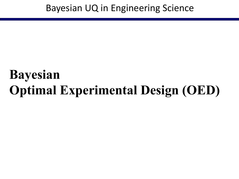# **Bayesian Optimal Experimental Design (OED)**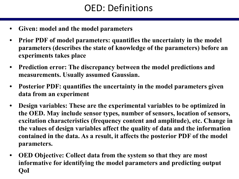# OED: Definitions

- **• Given: model and the model parameters**
- **• Prior PDF of model parameters: quantifies the uncertainty in the model parameters (describes the state of knowledge of the parameters) before an experiments takes place**
- **• Prediction error: The discrepancy between the model predictions and measurements. Usually assumed Gaussian.**
- **• Posterior PDF: quantifies the uncertainty in the model parameters given data from an experiment**
- **• Design variables: These are the experimental variables to be optimized in the OED. May include sensor types, number of sensors, location of sensors, excitation characteristics (frequency content and amplitude), etc. Change in the values of design variables affect the quality of data and the information contained in the data. As a result, it affects the posterior PDF of the model parameters.**
- **• OED Objective: Collect data from the system so that they are most informative for identifying the model parameters and predicting output QoI**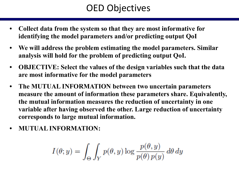# OED Objectives

- **• Collect data from the system so that they are most informative for identifying the model parameters and/or predicting output QoI**
- **• We will address the problem estimating the model parameters. Similar analysis will hold for the problem of predicting output QoI.**
- **• OBJECTIVE: Select the values of the design variables such that the data are most informative for the model parameters**
- **• The MUTUAL INFORMATION between two uncertain parameters measure the amount of information these parameters share. Equivalently, the mutual information measures the reduction of uncertainty in one variable after having observed the other. Large reduction of uncertainty corresponds to large mutual information.**
- **• MUTUAL INFORMATION:**

$$
I(\theta; y) = \int_{\Theta} \int_Y p(\theta, y) \log \frac{p(\theta, y)}{p(\theta) \, p(y)} \, d\theta \, dy
$$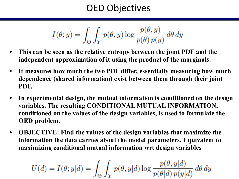# OED Objectives

$$
I(\theta; y) = \int_{\Theta} \int_{Y} p(\theta, y) \log \frac{p(\theta, y)}{p(\theta) p(y)} d\theta dy
$$

- **• This can be seen as the relative entropy between the joint PDF and the independent approximation of it using the product of the marginals.**
- **• It measures how much the two PDF differ, essentially measuring how much dependence (shared information) exist between them through their joint PDF.**
- **• In experimental design, the mutual information is conditioned on the design variables. The resulting CONDITIONAL MUTUAL INFORMATION, conditioned on the values of the design variables, is used to formulate the OED problem.**
- **• OBJECTIVE: Find the values of the design variables that maximize the information the data carries about the model parameters. Equivalent to maximizing conditional mutual information wrt design variables**

$$
U(d)=I(\theta;y|d)=\int_{\Theta}\int_Y p(\theta,y|d)\log\frac{p(\theta,y|d)}{p(\theta|d)\,p(y|d)}\,d\theta\,dy
$$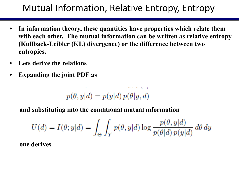# Mutual Information, Relative Entropy, Entropy

- **• In information theory, these quantities have properties which relate them with each other. The mutual information can be written as relative entropy (Kullback-Leibler (KL) divergence) or the difference between two entropies.**
- **• Lets derive the relations**
- **• Expanding the joint PDF as**

$$
p(\theta, y|d) = p(y|d) \, p(\theta | y, d)
$$

 **and substituting into the conditional mutual information**

$$
U(d) = I(\theta; y|d) = \int_{\Theta} \int_{Y} p(\theta, y|d) \log \frac{p(\theta, y|d)}{p(\theta|d) p(y|d)} d\theta dy
$$

 **one derives**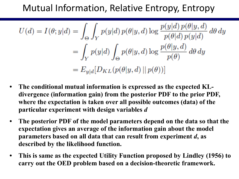# Mutual Information, Relative Entropy, Entropy

$$
U(d) = I(\theta; y|d) = \int_{\Theta} \int_{Y} p(y|d) p(\theta|y, d) \log \frac{p(y|d) p(\theta|y, d)}{p(\theta|d) p(y|d)} d\theta dy
$$
  
= 
$$
\int_{Y} p(y|d) \int_{\Theta} p(\theta|y, d) \log \frac{p(\theta|y, d)}{p(\theta)} d\theta dy
$$
  
= 
$$
E_{y|d}[D_{KL}(p(\theta|y, d) || p(\theta))]
$$

- **• The conditional mutual information is expressed as the expected KLdivergence (information gain) from the posterior PDF to the prior PDF, where the expectation is taken over all possible outcomes (data) of the particular experiment with design variables** *d*
- **• The posterior PDF of the model parameters depend on the data so that the expectation gives an average of the information gain about the model parameters based on all data that can result from experiment** *d***, as described by the likelihood function.**
- **• This is same as the expected Utility Function proposed by Lindley (1956) to carry out the OED problem based on a decision-theoretic framework.**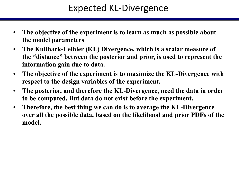# Expected KL-Divergence

- **• The objective of the experiment is to learn as much as possible about the model parameters**
- **• The Kullback-Leibler (KL) Divergence, which is a scalar measure of the "distance" between the posterior and prior, is used to represent the information gain due to data.**
- **• The objective of the experiment is to maximize the KL-Divergence with respect to the design variables of the experiment.**
- **• The posterior, and therefore the KL-Divergence, need the data in order to be computed. But data do not exist before the experiment.**
- **• Therefore, the best thing we can do is to average the KL-Divergence over all the possible data, based on the likelihood and prior PDFs of the model.**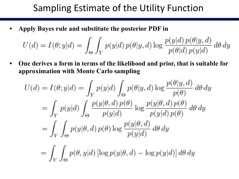**• Apply Bayes rule and substitute the posterior PDF in** 

U

$$
U(d) = I(\theta; y|d) = \int_{\Theta} \int_{Y} p(y|d) p(\theta|y, d) \log \frac{p(y|d) p(\theta|y, d)}{p(\theta|d) p(y|d)} d\theta dy
$$

**• One derives a form in terms of the likelihood and prior, that is suitable for approximation with Monte Carlo sampling**

$$
I(d) = I(\theta; y|d) = \int_{Y} p(y|d) \int_{\Theta} p(\theta|y, d) \log \frac{p(\theta|y, d)}{p(\theta)} d\theta dy
$$
  
= 
$$
\int_{Y} p(y|d) \int_{\Theta} \frac{p(y|\theta, d) p(\theta)}{p(y|d)} \log \frac{p(y|\theta, d) p(\theta)}{p(y|d) p(\theta)} d\theta dy
$$
  
= 
$$
\int_{Y} \int_{\Theta} p(y|\theta, d) p(\theta) \log \frac{p(y|\theta, d)}{p(y|d)} d\theta dy
$$
  
= 
$$
\int_{Y} \int_{\Theta} p(\theta, y|d) [\log p(y|\theta, d) - \log p(y|d)] d\theta dy
$$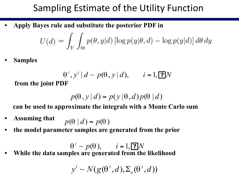**• Apply Bayes rule and substitute the posterior PDF in** 

$$
U(d) = \int_Y \int_{\Theta} p(\theta, y|d) \left[ \log p(y|\theta, d) - \log p(y|d) \right] d\theta dy
$$

**• Samples** 

$$
\theta^i, y^i \mid d \sim p(\theta, y \mid d), \qquad i = 1, \boxed{?}N
$$

 **from the joint PDF**

$$
p(\theta, y | d) = p(y | \theta, d) p(\theta | d)
$$

 **can be used to approximate the integrals with a Monte Carlo sum**

- **• Assuming that**  $p(\theta | d) = p(\theta)$
- **• the model parameter samples are generated from the prior**

 $\theta^i \sim p(\theta), \quad i = 1,$  **?**]*N* 

**• While the data samples are generated from the likelihood**

$$
y^{i} \sim N(g(\theta^{i}, d), \Sigma_{e}(\theta^{i}, d))
$$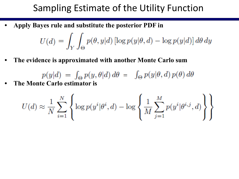**• Apply Bayes rule and substitute the posterior PDF in** 

$$
U(d) = \int_Y \int_{\Theta} p(\theta, y|d) \left[ \log p(y|\theta, d) - \log p(y|d) \right] d\theta dy
$$

**• The evidence is approximated with another Monte Carlo sum**

 $p(y|d) = \int_{\Theta} p(y, \theta | d) d\theta = \int_{\Theta} p(y | \theta, d) p(\theta) d\theta$ 

**• The Monte Carlo estimator is**

$$
U(d) \approx \frac{1}{N} \sum_{i=1}^{N} \left\{ \log p(y^i | \theta^i, d) - \log \left\{ \frac{1}{M} \sum_{j=1}^{M} p(y^i | \theta^{i,j}, d) \right\} \right\}
$$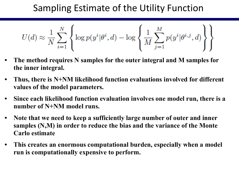$$
U(d) \approx \frac{1}{N} \sum_{i=1}^{N} \left\{ \log p(y^i | \theta^i, d) - \log \left\{ \frac{1}{M} \sum_{j=1}^{M} p(y^i | \theta^{i,j}, d) \right\} \right\}
$$

- **• The method requires N samples for the outer integral and M samples for the inner integral.**
- **• Thus, there is N+NM likelihood function evaluations involved for different values of the model parameters.**
- **• Since each likelihood function evaluation involves one model run, there is a number of N+NM model runs.**
- **• Note that we need to keep a sufficiently large number of outer and inner samples (N,M) in order to reduce the bias and the variance of the Monte Carlo estimate**
- **• This creates an enormous computational burden, especially when a model run is computationally expensive to perform.**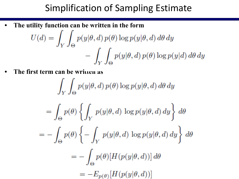# Simplification of Sampling Estimate

**• The utility function can be written in the form**

$$
U(d) = \int_{Y} \int_{\Theta} p(y|\theta, d) p(\theta) \log p(y|\theta, d) d\theta dy
$$

$$
- \int_{Y} \int_{\Theta} p(y|\theta, d) p(\theta) \log p(y|d) d\theta dy
$$

• The first term can be written as

$$
\int_{Y} \int_{\Theta} p(y|\theta, d) p(\theta) \log p(y|\theta, d) d\theta dy
$$

$$
= \int_{\Theta} p(\theta) \left\{ \int_{Y} p(y|\theta, d) \log p(y|\theta, d) dy \right\} d\theta
$$

$$
= - \int_{\Theta} p(\theta) \left\{ - \int_{Y} p(y|\theta, d) \log p(y|\theta, d) dy \right\} d\theta
$$

$$
= - \int_{\Theta} p(\theta) [H(p(y|\theta, d))] d\theta
$$

$$
= -E_{p(\theta)} [H(p(y|\theta, d))]
$$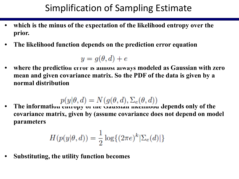# Simplification of Sampling Estimate

- **• which is the minus of the expectation of the likelihood entropy over the prior.**
- **• The likelihood function depends on the prediction error equation**

$$
y = g(\theta, d) + e
$$

**• where the prediction error is almost always modeled as Gaussian with zero mean and given covariance matrix. So the PDF of the data is given by a normal distribution**

$$
p(y|\theta, d) = N(g(\theta, d), \Sigma_e(\theta, d))
$$

**• The information entropy of the Gaussian likelihood depends only of the covariance matrix, given by (assume covariance does not depend on model parameters**

$$
H(p(y|\theta, d)) = \frac{1}{2}\log\{(2\pi e)^k |\Sigma_e(d)|\}
$$

**• Substituting, the utility function becomes**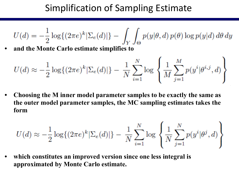# Simplification of Sampling Estimate

$$
U(d) = -\frac{1}{2}\log\{(2\pi e)^k |\Sigma_e(d)|\} - \int_Y \int_{\Theta} p(y|\theta, d) p(\theta) \log p(y|d) d\theta dy
$$

**• and the Monte Carlo estimate simplifies to**

$$
U(d) \approx -\frac{1}{2}\log\{(2\pi e)^k |\Sigma_e(d)|\} - \frac{1}{N}\sum_{i=1}^N \log \left\{\frac{1}{M}\sum_{j=1}^M p(y^i|\theta^{i,j}, d)\right\}
$$

**• Choosing the M inner model parameter samples to be exactly the same as the outer model parameter samples, the MC sampling estimates takes the form**

$$
U(d) \approx -\frac{1}{2}\log\{(2\pi e)^k |\Sigma_e(d)|\} - \frac{1}{N}\sum_{i=1}^N \log \left\{\frac{1}{N}\sum_{j=1}^N p(y^i|\theta^j, d)\right\}
$$

**• which constitutes an improved version since one less integral is approximated by Monte Carlo estimate.**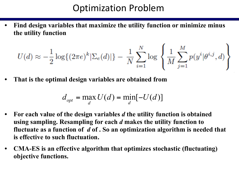#### Optimization Problem

**• Find design variables that maximize the utility function or minimize minus the utility function**

$$
U(d) \approx -\frac{1}{2}\log\{(2\pi e)^k |\Sigma_e(d)|\} - \frac{1}{N}\sum_{i=1}^N \log \left\{\frac{1}{M}\sum_{j=1}^M p(y^i|\theta^{i,j}, d)\right\}
$$

**• That is the optimal design variables are obtained from** 

$$
d_{opt} = \max_{d} U(d) = \min_{d} [-U(d)]
$$

- **• For each value of the design variables** *d* **the utility function is obtained using sampling. Resampling for each** *d* **makes the utility function to fluctuate as a function of** *d* **of . So an optimization algorithm is needed that is effective to such fluctuation.**
- **• CMA-ES is an effective algorithm that optimizes stochastic (fluctuating) objective functions.**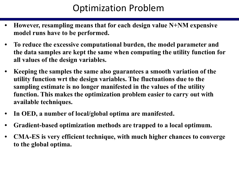# Optimization Problem

- **• However, resampling means that for each design value N+NM expensive model runs have to be performed.**
- **• To reduce the excessive computational burden, the model parameter and the data samples are kept the same when computing the utility function for all values of the design variables.**
- **• Keeping the samples the same also guarantees a smooth variation of the utility function wrt the design variables. The fluctuations due to the sampling estimate is no longer manifested in the values of the utility function. This makes the optimization problem easier to carry out with available techniques.**
- **• In OED, a number of local/global optima are manifested.**
- **• Gradient-based optimization methods are trapped to a local optimum.**
- **• CMA-ES is very efficient technique, with much higher chances to converge to the global optima.**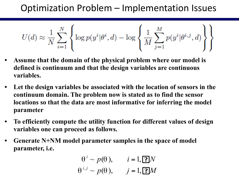#### Optimization Problem – Implementation Issues

$$
U(d) \approx \frac{1}{N} \sum_{i=1}^{N} \left\{ \log p(y^i | \theta^i, d) - \log \left\{ \frac{1}{M} \sum_{j=1}^{M} p(y^i | \theta^{i,j}, d) \right\} \right\}
$$

- **• Assume that the domain of the physical problem where our model is defined is continuum and that the design variables are continuous variables.**
- **• Let the design variables be associated with the location of sensors in the continuum domain. The problem now is stated as to find the sensor locations so that the data are most informative for inferring the model parameter**
- **• To efficiently compute the utility function for different values of design variables one can proceed as follows.**
- **• Generate N+NM model parameter samples in the space of model parameter, i.e.**

$$
\theta^i \sim p(\theta), \quad i = 1, \boxed{?}N
$$
  
 $\theta^{i,j} \sim p(\theta), \quad j = 1, \boxed{?}M$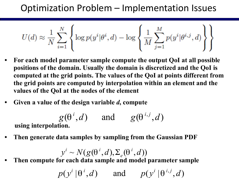#### Optimization Problem – Implementation Issues

$$
U(d) \approx \frac{1}{N} \sum_{i=1}^{N} \left\{ \log p(y^i | \theta^i, d) - \log \left\{ \frac{1}{M} \sum_{j=1}^{M} p(y^i | \theta^{i,j}, d) \right\} \right\}
$$

- **• For each model parameter sample compute the output QoI at all possible positions of the domain. Usually the domain is discretized and the QoI is computed at the grid points. The values of the QoI at points different from the grid points are computed by interpolation within an element and the values of the QoI at the nodes of the element**
- **• Given a value of the design variable** *d***, compute**

$$
g(\theta^i, d)
$$
 and  $g(\theta^{i,j}, d)$   
using interpolation.

**• Then generate data samples by sampling from the Gaussian PDF**

$$
y^{i} \sim N(g(\theta^{i}, d), \Sigma_{e}(\theta^{i}, d))
$$

**• Then compute for each data sample and model parameter sample**

$$
p(y^i | \theta^i, d)
$$
 and  $p(y^i | \theta^{i,j}, d)$